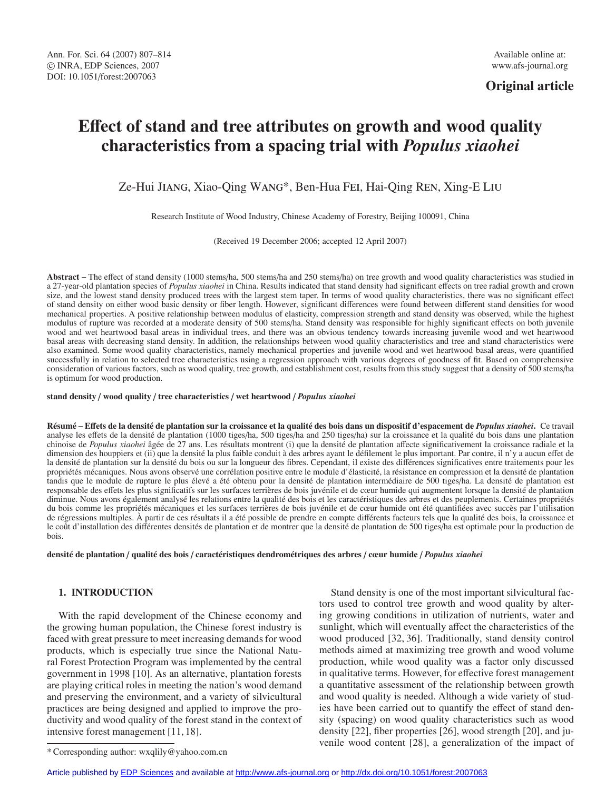**Original article**

# **E**ff**ect of stand and tree attributes on growth and wood quality characteristics from a spacing trial with** *Populus xiaohei*

Ze-Hui Jiang, Xiao-Qing Wang\*, Ben-Hua Fei, Hai-Qing Ren, Xing-E Liu

Research Institute of Wood Industry, Chinese Academy of Forestry, Beijing 100091, China

(Received 19 December 2006; accepted 12 April 2007)

**Abstract –** The effect of stand density (1000 stems/ha, 500 stems/ha and 250 stems/ha) on tree growth and wood quality characteristics was studied in a 27-year-old plantation species of *Populus xiaohei* in China. Results indicated that stand density had significant effects on tree radial growth and crown size, and the lowest stand density produced trees with the largest stem taper. In terms of wood quality characteristics, there was no significant effect of stand density on either wood basic density or fiber length. However, significant differences were found between different stand densities for wood mechanical properties. A positive relationship between modulus of elasticity, compression strength and stand density was observed, while the highest modulus of rupture was recorded at a moderate density of 500 stems/ha. Stand density was responsible for highly significant effects on both juvenile wood and wet heartwood basal areas in individual trees, and there was an obvious tendency towards increasing juvenile wood and wet heartwood basal areas with decreasing stand density. In addition, the relationships between wood quality characteristics and tree and stand characteristics were also examined. Some wood quality characteristics, namely mechanical properties and juvenile wood and wet heartwood basal areas, were quantified successfully in relation to selected tree characteristics using a regression approach with various degrees of goodness of fit. Based on comprehensive consideration of various factors, such as wood quality, tree growth, and establishment cost, results from this study suggest that a density of 500 stems/ha is optimum for wood production.

**stand density** / **wood quality** / **tree characteristics** / **wet heartwood** / *Populus xiaohei*

**Résumé – E**ff**ets de la densité de plantation sur la croissance et la qualité des bois dans un dispositif d'espacement de** *Populus xiaohei***.** Ce travail analyse les effets de la densité de plantation (1000 tiges/ha, 500 tiges/ha and 250 tiges/ha) sur la croissance et la qualité du bois dans une plantation chinoise de *Populus xiaohei* âgée de 27 ans. Les résultats montrent (i) que la densité de plantation affecte significativement la croissance radiale et la dimension des houppiers et (ii) que la densité la plus faible conduit à des arbres ayant le défilement le plus important. Par contre, il n'y a aucun effet de la densité de plantation sur la densité du bois ou sur la longueur des fibres. Cependant, il existe des différences significatives entre traitements pour les propriétés mécaniques. Nous avons observé une corrélation positive entre le module d'élasticité, la résistance en compression et la densité de plantation tandis que le module de rupture le plus élevé a été obtenu pour la densité de plantation intermédiaire de 500 tiges/ha. La densité de plantation est responsable des effets les plus significatifs sur les surfaces terrières de bois juvénile et de cœur humide qui augmentent lorsque la densité de plantation diminue. Nous avons également analysé les relations entre la qualité des bois et les caractéristiques des arbres et des peuplements. Certaines propriétés du bois comme les propriétés mécaniques et les surfaces terrières de bois juvénile et de cœur humide ont été quantifiées avec succès par l'utilisation de régressions multiples. À partir de ces résultats il a été possible de prendre en compte différents facteurs tels que la qualité des bois, la croissance et le coût d'installation des différentes densités de plantation et de montrer que la densité de plantation de 500 tiges/ha est optimale pour la production de bois.

**densité de plantation** / **qualité des bois** / **caractéristiques dendrométriques des arbres** / **cœur humide** / *Populus xiaohei*

# **1. INTRODUCTION**

With the rapid development of the Chinese economy and the growing human population, the Chinese forest industry is faced with great pressure to meet increasing demands for wood products, which is especially true since the National Natural Forest Protection Program was implemented by the central government in 1998 [10]. As an alternative, plantation forests are playing critical roles in meeting the nation's wood demand and preserving the environment, and a variety of silvicultural practices are being designed and applied to improve the productivity and wood quality of the forest stand in the context of intensive forest management [11, 18].

Stand density is one of the most important silvicultural factors used to control tree growth and wood quality by altering growing conditions in utilization of nutrients, water and sunlight, which will eventually affect the characteristics of the wood produced [32, 36]. Traditionally, stand density control methods aimed at maximizing tree growth and wood volume production, while wood quality was a factor only discussed in qualitative terms. However, for effective forest management a quantitative assessment of the relationship between growth and wood quality is needed. Although a wide variety of studies have been carried out to quantify the effect of stand density (spacing) on wood quality characteristics such as wood density [22], fiber properties [26], wood strength [20], and juvenile wood content [28], a generalization of the impact of

<sup>\*</sup> Corresponding author: wxqlily@yahoo.com.cn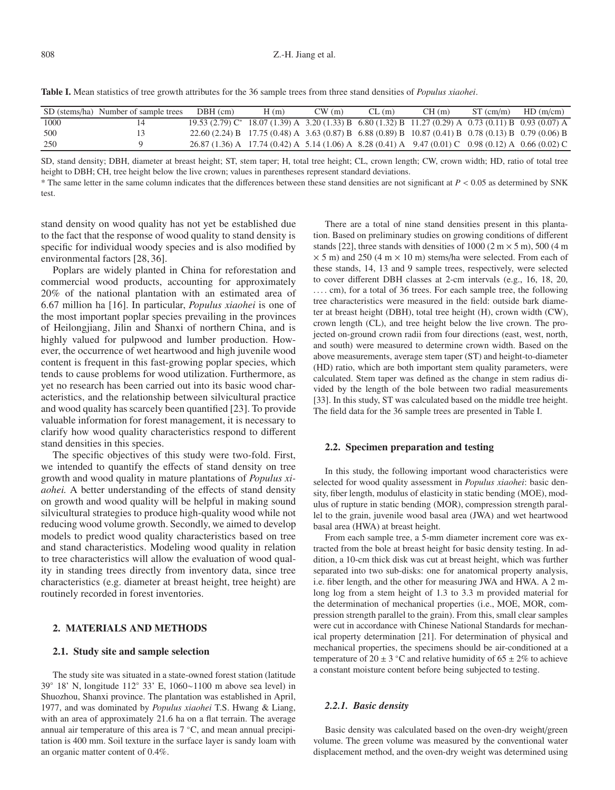| Table I. Mean statistics of tree growth attributes for the 36 sample trees from three stand densities of <i>Populus xiaohei</i> . |  |  |
|-----------------------------------------------------------------------------------------------------------------------------------|--|--|
|                                                                                                                                   |  |  |

|      | SD (stems/ha) Number of sample trees | $DBH$ (cm)                                                                                                 | H(m) | CW(m) | CL(m) | CH(m) | $ST$ (cm/m) | HD(m/cm) |
|------|--------------------------------------|------------------------------------------------------------------------------------------------------------|------|-------|-------|-------|-------------|----------|
| 1000 |                                      | 19.53 (2.79) $C^*$ 18.07 (1.39) A 3.20 (1.33) B 6.80 (1.32) B 11.27 (0.29) A 0.73 (0.11) B 0.93 (0.07) A   |      |       |       |       |             |          |
| 500  |                                      | 22.60 (2.24) B 17.75 (0.48) A 3.63 (0.87) B 6.88 (0.89) B 10.87 (0.41) B 0.78 (0.13) B 0.79 (0.06) B       |      |       |       |       |             |          |
| 250  |                                      | $26.87(1.36)$ A $17.74(0.42)$ A $5.14(1.06)$ A $8.28(0.41)$ A $9.47(0.01)$ C $0.98(0.12)$ A $0.66(0.02)$ C |      |       |       |       |             |          |

SD, stand density; DBH, diameter at breast height; ST, stem taper; H, total tree height; CL, crown length; CW, crown width; HD, ratio of total tree height to DBH; CH, tree height below the live crown; values in parentheses represent standard deviations.

\* The same letter in the same column indicates that the differences between these stand densities are not significant at *P* < 0.05 as determined by SNK test.

stand density on wood quality has not yet be established due to the fact that the response of wood quality to stand density is specific for individual woody species and is also modified by environmental factors [28, 36].

Poplars are widely planted in China for reforestation and commercial wood products, accounting for approximately 20% of the national plantation with an estimated area of 6.67 million ha [16]. In particular, *Populus xiaohei* is one of the most important poplar species prevailing in the provinces of Heilongjiang, Jilin and Shanxi of northern China, and is highly valued for pulpwood and lumber production. However, the occurrence of wet heartwood and high juvenile wood content is frequent in this fast-growing poplar species, which tends to cause problems for wood utilization. Furthermore, as yet no research has been carried out into its basic wood characteristics, and the relationship between silvicultural practice and wood quality has scarcely been quantified [23]. To provide valuable information for forest management, it is necessary to clarify how wood quality characteristics respond to different stand densities in this species.

The specific objectives of this study were two-fold. First, we intended to quantify the effects of stand density on tree growth and wood quality in mature plantations of *Populus xiaohei.* A better understanding of the effects of stand density on growth and wood quality will be helpful in making sound silvicultural strategies to produce high-quality wood while not reducing wood volume growth. Secondly, we aimed to develop models to predict wood quality characteristics based on tree and stand characteristics. Modeling wood quality in relation to tree characteristics will allow the evaluation of wood quality in standing trees directly from inventory data, since tree characteristics (e.g. diameter at breast height, tree height) are routinely recorded in forest inventories.

#### **2. MATERIALS AND METHODS**

#### **2.1. Study site and sample selection**

The study site was situated in a state-owned forest station (latitude 39◦ 18' N, longitude 112◦ 33' E, 1060∼1100 m above sea level) in Shuozhou, Shanxi province. The plantation was established in April, 1977, and was dominated by *Populus xiaohei* T.S. Hwang & Liang, with an area of approximately 21.6 ha on a flat terrain. The average annual air temperature of this area is 7 ◦C, and mean annual precipitation is 400 mm. Soil texture in the surface layer is sandy loam with an organic matter content of 0.4%.

There are a total of nine stand densities present in this plantation. Based on preliminary studies on growing conditions of different stands [22], three stands with densities of 1000 (2 m  $\times$  5 m), 500 (4 m  $\times$  5 m) and 250 (4 m  $\times$  10 m) stems/ha were selected. From each of these stands, 14, 13 and 9 sample trees, respectively, were selected to cover different DBH classes at 2-cm intervals (e.g., 16, 18, 20, .... cm), for a total of 36 trees. For each sample tree, the following tree characteristics were measured in the field: outside bark diameter at breast height (DBH), total tree height (H), crown width (CW), crown length (CL), and tree height below the live crown. The projected on-ground crown radii from four directions (east, west, north, and south) were measured to determine crown width. Based on the above measurements, average stem taper (ST) and height-to-diameter (HD) ratio, which are both important stem quality parameters, were calculated. Stem taper was defined as the change in stem radius divided by the length of the bole between two radial measurements [33]. In this study, ST was calculated based on the middle tree height. The field data for the 36 sample trees are presented in Table I.

## **2.2. Specimen preparation and testing**

In this study, the following important wood characteristics were selected for wood quality assessment in *Populus xiaohei*: basic density, fiber length, modulus of elasticity in static bending (MOE), modulus of rupture in static bending (MOR), compression strength parallel to the grain, juvenile wood basal area (JWA) and wet heartwood basal area (HWA) at breast height.

From each sample tree, a 5-mm diameter increment core was extracted from the bole at breast height for basic density testing. In addition, a 10-cm thick disk was cut at breast height, which was further separated into two sub-disks: one for anatomical property analysis, i.e. fiber length, and the other for measuring JWA and HWA. A 2 mlong log from a stem height of 1.3 to 3.3 m provided material for the determination of mechanical properties (i.e., MOE, MOR, compression strength parallel to the grain). From this, small clear samples were cut in accordance with Chinese National Standards for mechanical property determination [21]. For determination of physical and mechanical properties, the specimens should be air-conditioned at a temperature of 20  $\pm$  3 °C and relative humidity of 65  $\pm$  2% to achieve a constant moisture content before being subjected to testing.

#### *2.2.1. Basic density*

Basic density was calculated based on the oven-dry weight/green volume. The green volume was measured by the conventional water displacement method, and the oven-dry weight was determined using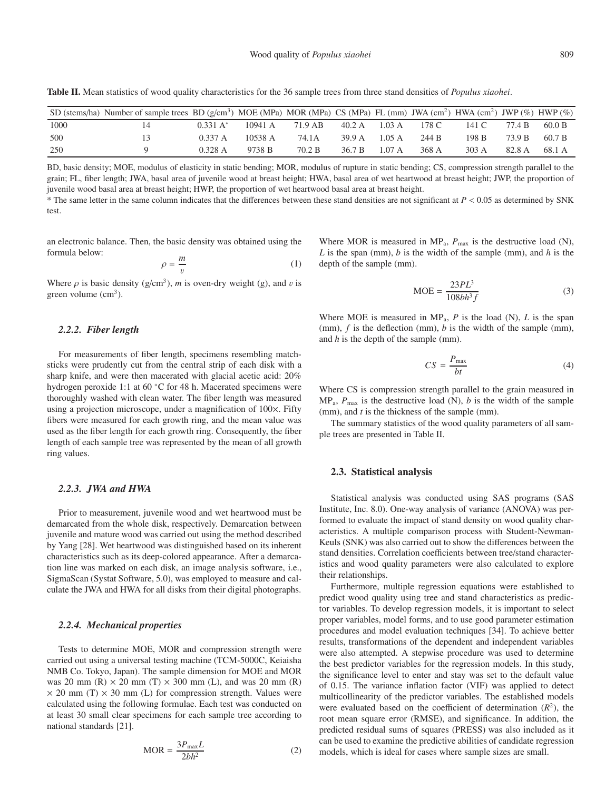**Table II.** Mean statistics of wood quality characteristics for the 36 sample trees from three stand densities of *Populus xiaohei*.

|      | SD (stems/ha) Number of sample trees BD (g/cm <sup>3</sup> ) MOE (MPa) MOR (MPa) CS (MPa) FL (mm) JWA (cm <sup>2</sup> ) HWA (cm <sup>2</sup> ) JWP (%) HWP (%) |                     |         |         |               |        |       |       |        |        |
|------|-----------------------------------------------------------------------------------------------------------------------------------------------------------------|---------------------|---------|---------|---------------|--------|-------|-------|--------|--------|
| 1000 |                                                                                                                                                                 | $0.331 \text{ A}^*$ | 10941 A | 71.9 AB | 40.2 A 1.03 A |        | 178 C | 141 C | 77.4 B | 60.0 B |
| 500  |                                                                                                                                                                 | 0.337 A             | 10538A  | 74.1A   | 39.9 A 1.05 A |        | 244 B | 198 B | 73.9 B | 60.7 B |
| 250  |                                                                                                                                                                 | 0.328 A             | 9738 B  | 70.2 B  | 36.7 B        | 1.07 A | 368 A | 303 A | 82.8 A | 68.1 A |

BD, basic density; MOE, modulus of elasticity in static bending; MOR, modulus of rupture in static bending; CS, compression strength parallel to the grain; FL, fiber length; JWA, basal area of juvenile wood at breast height; HWA, basal area of wet heartwood at breast height; JWP, the proportion of juvenile wood basal area at breast height; HWP, the proportion of wet heartwood basal area at breast height.

\* The same letter in the same column indicates that the differences between these stand densities are not significant at *P* < 0.05 as determined by SNK test.

an electronic balance. Then, the basic density was obtained using the formula below:

$$
\rho = \frac{m}{v} \tag{1}
$$

Where  $\rho$  is basic density (g/cm<sup>3</sup>), *m* is oven-dry weight (g), and *v* is green volume  $\text{cm}^3$ ).

## *2.2.2. Fiber length*

For measurements of fiber length, specimens resembling matchsticks were prudently cut from the central strip of each disk with a sharp knife, and were then macerated with glacial acetic acid: 20% hydrogen peroxide 1:1 at 60 ◦C for 48 h. Macerated specimens were thoroughly washed with clean water. The fiber length was measured using a projection microscope, under a magnification of 100×. Fifty fibers were measured for each growth ring, and the mean value was used as the fiber length for each growth ring. Consequently, the fiber length of each sample tree was represented by the mean of all growth ring values.

## *2.2.3. JWA and HWA*

Prior to measurement, juvenile wood and wet heartwood must be demarcated from the whole disk, respectively. Demarcation between juvenile and mature wood was carried out using the method described by Yang [28]. Wet heartwood was distinguished based on its inherent characteristics such as its deep-colored appearance. After a demarcation line was marked on each disk, an image analysis software, i.e., SigmaScan (Systat Software, 5.0), was employed to measure and calculate the JWA and HWA for all disks from their digital photographs.

#### *2.2.4. Mechanical properties*

Tests to determine MOE, MOR and compression strength were carried out using a universal testing machine (TCM-5000C, Keiaisha NMB Co. Tokyo, Japan). The sample dimension for MOE and MOR was 20 mm (R)  $\times$  20 mm (T)  $\times$  300 mm (L), and was 20 mm (R)  $\times$  20 mm (T)  $\times$  30 mm (L) for compression strength. Values were calculated using the following formulae. Each test was conducted on at least 30 small clear specimens for each sample tree according to national standards [21].

$$
MOR = \frac{3P_{\text{max}}L}{2bh^2}
$$
 (2)

Where MOR is measured in  $MP_a$ ,  $P_{max}$  is the destructive load (N), *L* is the span (mm), *b* is the width of the sample (mm), and *h* is the depth of the sample (mm).

$$
MOE = \frac{23PL^3}{108bh^3f}
$$
 (3)

Where MOE is measured in  $MP_a$ , *P* is the load (N), *L* is the span (mm), *f* is the deflection (mm), *b* is the width of the sample (mm), and *h* is the depth of the sample (mm).

$$
CS = \frac{P_{\text{max}}}{bt} \tag{4}
$$

Where CS is compression strength parallel to the grain measured in  $MP_a$ ,  $P_{\text{max}}$  is the destructive load (N), *b* is the width of the sample (mm), and *t* is the thickness of the sample (mm).

The summary statistics of the wood quality parameters of all sample trees are presented in Table II.

#### **2.3. Statistical analysis**

Statistical analysis was conducted using SAS programs (SAS Institute, Inc. 8.0). One-way analysis of variance (ANOVA) was performed to evaluate the impact of stand density on wood quality characteristics. A multiple comparison process with Student-Newman-Keuls (SNK) was also carried out to show the differences between the stand densities. Correlation coefficients between tree/stand characteristics and wood quality parameters were also calculated to explore their relationships.

Furthermore, multiple regression equations were established to predict wood quality using tree and stand characteristics as predictor variables. To develop regression models, it is important to select proper variables, model forms, and to use good parameter estimation procedures and model evaluation techniques [34]. To achieve better results, transformations of the dependent and independent variables were also attempted. A stepwise procedure was used to determine the best predictor variables for the regression models. In this study, the significance level to enter and stay was set to the default value of 0.15. The variance inflation factor (VIF) was applied to detect multicollinearity of the predictor variables. The established models were evaluated based on the coefficient of determination  $(R^2)$ , the root mean square error (RMSE), and significance. In addition, the predicted residual sums of squares (PRESS) was also included as it can be used to examine the predictive abilities of candidate regression models, which is ideal for cases where sample sizes are small.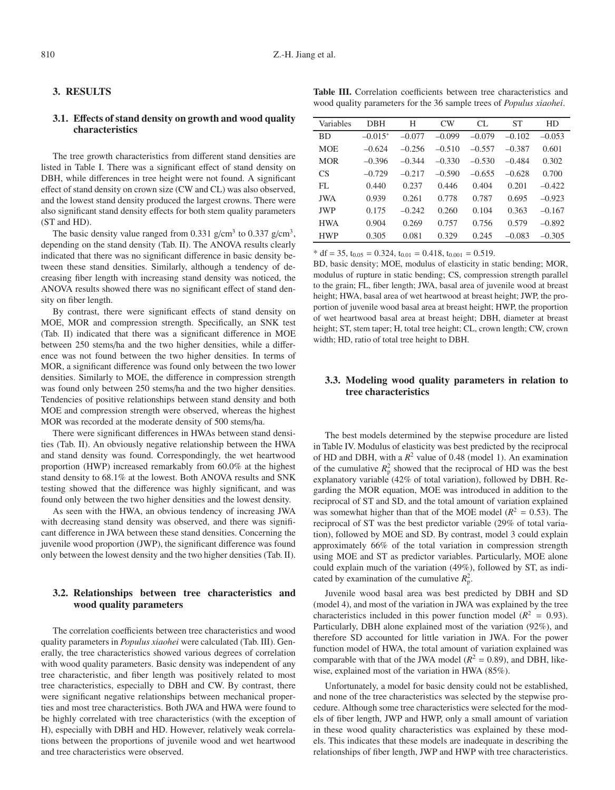#### **3. RESULTS**

# **3.1. E**ff**ects of stand density on growth and wood quality characteristics**

The tree growth characteristics from different stand densities are listed in Table I. There was a significant effect of stand density on DBH, while differences in tree height were not found. A significant effect of stand density on crown size (CW and CL) was also observed, and the lowest stand density produced the largest crowns. There were also significant stand density effects for both stem quality parameters (ST and HD).

The basic density value ranged from 0.331 g/cm<sup>3</sup> to 0.337 g/cm<sup>3</sup>, depending on the stand density (Tab. II). The ANOVA results clearly indicated that there was no significant difference in basic density between these stand densities. Similarly, although a tendency of decreasing fiber length with increasing stand density was noticed, the ANOVA results showed there was no significant effect of stand density on fiber length.

By contrast, there were significant effects of stand density on MOE, MOR and compression strength. Specifically, an SNK test (Tab. II) indicated that there was a significant difference in MOE between 250 stems/ha and the two higher densities, while a difference was not found between the two higher densities. In terms of MOR, a significant difference was found only between the two lower densities. Similarly to MOE, the difference in compression strength was found only between 250 stems/ha and the two higher densities. Tendencies of positive relationships between stand density and both MOE and compression strength were observed, whereas the highest MOR was recorded at the moderate density of 500 stems/ha.

There were significant differences in HWAs between stand densities (Tab. II). An obviously negative relationship between the HWA and stand density was found. Correspondingly, the wet heartwood proportion (HWP) increased remarkably from 60.0% at the highest stand density to 68.1% at the lowest. Both ANOVA results and SNK testing showed that the difference was highly significant, and was found only between the two higher densities and the lowest density.

As seen with the HWA, an obvious tendency of increasing JWA with decreasing stand density was observed, and there was significant difference in JWA between these stand densities. Concerning the juvenile wood proportion (JWP), the significant difference was found only between the lowest density and the two higher densities (Tab. II).

# **3.2. Relationships between tree characteristics and wood quality parameters**

The correlation coefficients between tree characteristics and wood quality parameters in *Populus xiaohei* were calculated (Tab. III). Generally, the tree characteristics showed various degrees of correlation with wood quality parameters. Basic density was independent of any tree characteristic, and fiber length was positively related to most tree characteristics, especially to DBH and CW. By contrast, there were significant negative relationships between mechanical properties and most tree characteristics. Both JWA and HWA were found to be highly correlated with tree characteristics (with the exception of H), especially with DBH and HD. However, relatively weak correlations between the proportions of juvenile wood and wet heartwood and tree characteristics were observed.

| Variables  | <b>DBH</b> | Н        | CW       | CL       | <b>ST</b> | HD       |
|------------|------------|----------|----------|----------|-----------|----------|
| <b>BD</b>  | $-0.015*$  | $-0.077$ | $-0.099$ | $-0.079$ | $-0.102$  | $-0.053$ |
| <b>MOE</b> | $-0.624$   | $-0.256$ | $-0.510$ | $-0.557$ | $-0.387$  | 0.601    |
| <b>MOR</b> | $-0.396$   | $-0.344$ | $-0.330$ | $-0.530$ | $-0.484$  | 0.302    |
| <b>CS</b>  | $-0.729$   | $-0.217$ | $-0.590$ | $-0.655$ | $-0.628$  | 0.700    |
| FL.        | 0.440      | 0.237    | 0.446    | 0.404    | 0.201     | $-0.422$ |
| JWA        | 0.939      | 0.261    | 0.778    | 0.787    | 0.695     | $-0.923$ |
| <b>JWP</b> | 0.175      | $-0.242$ | 0.260    | 0.104    | 0.363     | $-0.167$ |
| <b>HWA</b> | 0.904      | 0.269    | 0.757    | 0.756    | 0.579     | $-0.892$ |
| <b>HWP</b> | 0.305      | 0.081    | 0.329    | 0.245    | $-0.083$  | $-0.305$ |

 $* df = 35, t_{0.05} = 0.324, t_{0.01} = 0.418, t_{0.001} = 0.519.$ 

BD, basic density; MOE, modulus of elasticity in static bending; MOR, modulus of rupture in static bending; CS, compression strength parallel to the grain; FL, fiber length; JWA, basal area of juvenile wood at breast height; HWA, basal area of wet heartwood at breast height; JWP, the proportion of juvenile wood basal area at breast height; HWP, the proportion of wet heartwood basal area at breast height; DBH, diameter at breast height; ST, stem taper; H, total tree height; CL, crown length; CW, crown width; HD, ratio of total tree height to DBH.

# **3.3. Modeling wood quality parameters in relation to tree characteristics**

The best models determined by the stepwise procedure are listed in Table IV. Modulus of elasticity was best predicted by the reciprocal of HD and DBH, with a  $R^2$  value of 0.48 (model 1). An examination of the cumulative  $R_p^2$  showed that the reciprocal of HD was the best explanatory variable (42% of total variation), followed by DBH. Regarding the MOR equation, MOE was introduced in addition to the reciprocal of ST and SD, and the total amount of variation explained was somewhat higher than that of the MOE model ( $R^2 = 0.53$ ). The reciprocal of ST was the best predictor variable (29% of total variation), followed by MOE and SD. By contrast, model 3 could explain approximately 66% of the total variation in compression strength using MOE and ST as predictor variables. Particularly, MOE alone could explain much of the variation (49%), followed by ST, as indicated by examination of the cumulative  $R_p^2$ .

Juvenile wood basal area was best predicted by DBH and SD (model 4), and most of the variation in JWA was explained by the tree characteristics included in this power function model  $(R^2 = 0.93)$ . Particularly, DBH alone explained most of the variation (92%), and therefore SD accounted for little variation in JWA. For the power function model of HWA, the total amount of variation explained was comparable with that of the JWA model ( $R^2 = 0.89$ ), and DBH, likewise, explained most of the variation in HWA (85%).

Unfortunately, a model for basic density could not be established, and none of the tree characteristics was selected by the stepwise procedure. Although some tree characteristics were selected for the models of fiber length, JWP and HWP, only a small amount of variation in these wood quality characteristics was explained by these models. This indicates that these models are inadequate in describing the relationships of fiber length, JWP and HWP with tree characteristics.

**Table III.** Correlation coefficients between tree characteristics and wood quality parameters for the 36 sample trees of *Populus xiaohei*.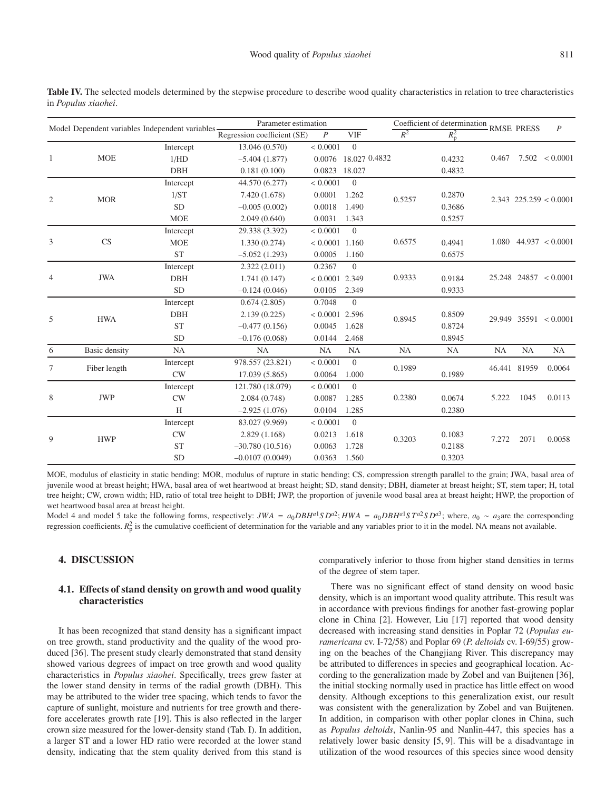| Model Dependent variables Independent variables- |               |            | Parameter estimation        |                  |                      | Coefficient of determination<br><b>RMSE PRESS</b><br>$\boldsymbol{P}$ |               |           |              |                            |
|--------------------------------------------------|---------------|------------|-----------------------------|------------------|----------------------|-----------------------------------------------------------------------|---------------|-----------|--------------|----------------------------|
|                                                  |               |            | Regression coefficient (SE) | $\boldsymbol{P}$ | <b>VIF</b>           | $R^2$                                                                 | $R_{\rm p}^2$ |           |              |                            |
|                                                  |               | Intercept  | 13.046 (0.570)              | < 0.0001         | $\overline{0}$       |                                                                       |               |           |              |                            |
| 1                                                | <b>MOE</b>    | 1/HD       | $-5.404(1.877)$             |                  | 0.0076 18.027 0.4832 |                                                                       | 0.4232        | 0.467     |              | $7.502 \le 0.0001$         |
|                                                  |               | <b>DBH</b> | 0.181(0.100)                | 0.0823 18.027    |                      |                                                                       | 0.4832        |           |              |                            |
|                                                  |               | Intercept  | 44.570 (6.277)              | < 0.0001         | $\theta$             |                                                                       |               |           |              | $2.343$ $225.259 < 0.0001$ |
| $\mathfrak{2}$                                   | <b>MOR</b>    | 1/ST       | 7.420 (1.678)               | 0.0001           | 1.262                | 0.5257                                                                | 0.2870        |           |              |                            |
|                                                  |               | <b>SD</b>  | $-0.005(0.002)$             | 0.0018           | 1.490                |                                                                       | 0.3686        |           |              |                            |
|                                                  |               | <b>MOE</b> | 2.049(0.640)                | 0.0031           | 1.343                |                                                                       | 0.5257        |           |              |                            |
|                                                  |               | Intercept  | 29.338 (3.392)              | < 0.0001         | $\theta$             |                                                                       |               |           |              |                            |
| 3                                                | CS            | <b>MOE</b> | 1.330(0.274)                | $< 0.0001$ 1.160 |                      | 0.6575                                                                | 0.4941        |           |              | $1.080$ 44.937 < 0.0001    |
|                                                  |               | <b>ST</b>  | $-5.052(1.293)$             | 0.0005           | 1.160                |                                                                       | 0.6575        |           |              |                            |
|                                                  |               | Intercept  | 2.322(2.011)                | 0.2367           | $\theta$             | 0.9333                                                                |               |           |              | $25.248$ 24857 < 0.0001    |
| $\overline{4}$                                   | <b>JWA</b>    | <b>DBH</b> | 1.741(0.147)                | $< 0.0001$ 2.349 |                      |                                                                       | 0.9184        |           |              |                            |
|                                                  |               | <b>SD</b>  | $-0.124(0.046)$             | 0.0105           | 2.349                |                                                                       | 0.9333        |           |              |                            |
|                                                  |               | Intercept  | 0.674(2.805)                | 0.7048           | $\overline{0}$       |                                                                       |               |           |              | $29.949$ 35591 < 0.0001    |
| 5                                                | <b>HWA</b>    | <b>DBH</b> | 2.139(0.225)                | $< 0.0001$ 2.596 |                      | 0.8945                                                                | 0.8509        |           |              |                            |
|                                                  |               | <b>ST</b>  | $-0.477(0.156)$             | 0.0045           | 1.628                |                                                                       | 0.8724        |           |              |                            |
|                                                  |               | <b>SD</b>  | $-0.176(0.068)$             | 0.0144           | 2.468                |                                                                       | 0.8945        |           |              |                            |
| 6                                                | Basic density | NA         | NA                          | NA               | <b>NA</b>            | <b>NA</b>                                                             | NA            | <b>NA</b> | NA           | <b>NA</b>                  |
| 7                                                | Fiber length  | Intercept  | 978.557 (23.821)            | < 0.0001         | $\boldsymbol{0}$     | 0.1989                                                                |               |           | 46.441 81959 | 0.0064                     |
|                                                  |               | <b>CW</b>  | 17.039 (5.865)              | 0.0064           | 1.000                |                                                                       | 0.1989        |           |              |                            |
|                                                  |               | Intercept  | 121.780 (18.079)            | < 0.0001         | $\theta$             |                                                                       |               |           |              |                            |
| 8                                                | <b>JWP</b>    | CW         | 2.084(0.748)                | 0.0087           | 1.285                | 0.2380                                                                | 0.0674        | 5.222     | 1045         | 0.0113                     |
|                                                  |               | H          | $-2.925(1.076)$             | 0.0104           | 1.285                |                                                                       | 0.2380        |           |              |                            |
|                                                  |               | Intercept  | 83.027 (9.969)              | < 0.0001         | $\theta$             | 0.3203                                                                |               |           |              |                            |
| 9                                                | <b>HWP</b>    | CW         | 2.829(1.168)                | 0.0213           | 1.618                |                                                                       | 0.1083        | 7.272     | 2071         | 0.0058                     |
|                                                  |               | <b>ST</b>  | $-30.780(10.516)$           | 0.0063           | 1.728                |                                                                       | 0.2188        |           |              |                            |
|                                                  |               | <b>SD</b>  | $-0.0107(0.0049)$           | 0.0363           | 1.560                |                                                                       | 0.3203        |           |              |                            |

Table IV. The selected models determined by the stepwise procedure to describe wood quality characteristics in relation to tree characteristics in *Populus xiaohei*.

MOE, modulus of elasticity in static bending; MOR, modulus of rupture in static bending; CS, compression strength parallel to the grain; JWA, basal area of juvenile wood at breast height; HWA, basal area of wet heartwood at breast height; SD, stand density; DBH, diameter at breast height; ST, stem taper; H, total tree height; CW, crown width; HD, ratio of total tree height to DBH; JWP, the proportion of juvenile wood basal area at breast height; HWP, the proportion of wet heartwood basal area at breast height.

Model 4 and model 5 take the following forms, respectively: JWA =  $a_0DBH^{a_1}SD^{a_2}$ ; HWA =  $a_0DBH^{a_1}ST^{a_2}SD^{a_3}$ ; where,  $a_0 \sim a_3$  are the corresponding regression coefficients.  $R_p^2$  is the cumulative coefficient of determination for the variable and any variables prior to it in the model. NA means not available.

## **4. DISCUSSION**

## **4.1. E**ff**ects of stand density on growth and wood quality characteristics**

It has been recognized that stand density has a significant impact on tree growth, stand productivity and the quality of the wood produced [36]. The present study clearly demonstrated that stand density showed various degrees of impact on tree growth and wood quality characteristics in *Populus xiaohei*. Specifically, trees grew faster at the lower stand density in terms of the radial growth (DBH). This may be attributed to the wider tree spacing, which tends to favor the capture of sunlight, moisture and nutrients for tree growth and therefore accelerates growth rate [19]. This is also reflected in the larger crown size measured for the lower-density stand (Tab. I). In addition, a larger ST and a lower HD ratio were recorded at the lower stand density, indicating that the stem quality derived from this stand is comparatively inferior to those from higher stand densities in terms of the degree of stem taper.

There was no significant effect of stand density on wood basic density, which is an important wood quality attribute. This result was in accordance with previous findings for another fast-growing poplar clone in China [2]. However, Liu [17] reported that wood density decreased with increasing stand densities in Poplar 72 (*Populus euramericana* cv. I-72/58) and Poplar 69 (*P. deltoids* cv. I-69/55) growing on the beaches of the Changjiang River. This discrepancy may be attributed to differences in species and geographical location. According to the generalization made by Zobel and van Buijtenen [36], the initial stocking normally used in practice has little effect on wood density. Although exceptions to this generalization exist, our result was consistent with the generalization by Zobel and van Buijtenen. In addition, in comparison with other poplar clones in China, such as *Populus deltoids*, Nanlin-95 and Nanlin-447, this species has a relatively lower basic density [5, 9]. This will be a disadvantage in utilization of the wood resources of this species since wood density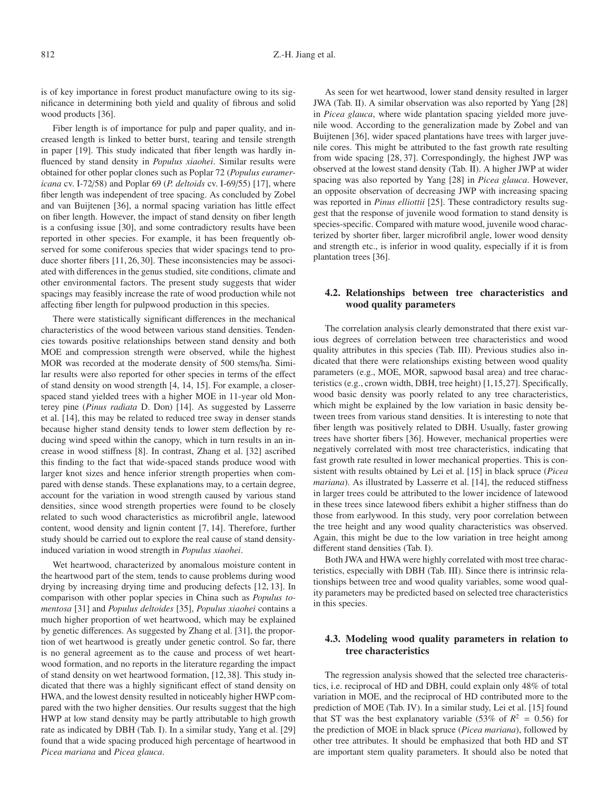is of key importance in forest product manufacture owing to its significance in determining both yield and quality of fibrous and solid wood products [36].

Fiber length is of importance for pulp and paper quality, and increased length is linked to better burst, tearing and tensile strength in paper [19]. This study indicated that fiber length was hardly influenced by stand density in *Populus xiaohei*. Similar results were obtained for other poplar clones such as Poplar 72 (*Populus euramericana* cv. I-72/58) and Poplar 69 (*P. deltoids* cv. I-69/55) [17], where fiber length was independent of tree spacing. As concluded by Zobel and van Buijtenen [36], a normal spacing variation has little effect on fiber length. However, the impact of stand density on fiber length is a confusing issue [30], and some contradictory results have been reported in other species. For example, it has been frequently observed for some coniferous species that wider spacings tend to produce shorter fibers [11, 26, 30]. These inconsistencies may be associated with differences in the genus studied, site conditions, climate and other environmental factors. The present study suggests that wider spacings may feasibly increase the rate of wood production while not affecting fiber length for pulpwood production in this species.

There were statistically significant differences in the mechanical characteristics of the wood between various stand densities. Tendencies towards positive relationships between stand density and both MOE and compression strength were observed, while the highest MOR was recorded at the moderate density of 500 stems/ha. Similar results were also reported for other species in terms of the effect of stand density on wood strength [4, 14, 15]. For example, a closerspaced stand yielded trees with a higher MOE in 11-year old Monterey pine (*Pinus radiata* D. Don) [14]. As suggested by Lasserre et al. [14], this may be related to reduced tree sway in denser stands because higher stand density tends to lower stem deflection by reducing wind speed within the canopy, which in turn results in an increase in wood stiffness [8]. In contrast, Zhang et al. [32] ascribed this finding to the fact that wide-spaced stands produce wood with larger knot sizes and hence inferior strength properties when compared with dense stands. These explanations may, to a certain degree, account for the variation in wood strength caused by various stand densities, since wood strength properties were found to be closely related to such wood characteristics as microfibril angle, latewood content, wood density and lignin content [7, 14]. Therefore, further study should be carried out to explore the real cause of stand densityinduced variation in wood strength in *Populus xiaohei*.

Wet heartwood, characterized by anomalous moisture content in the heartwood part of the stem, tends to cause problems during wood drying by increasing drying time and producing defects [12, 13]. In comparison with other poplar species in China such as *Populus tomentosa* [31] and *Populus deltoides* [35], *Populus xiaohei* contains a much higher proportion of wet heartwood, which may be explained by genetic differences. As suggested by Zhang et al. [31], the proportion of wet heartwood is greatly under genetic control. So far, there is no general agreement as to the cause and process of wet heartwood formation, and no reports in the literature regarding the impact of stand density on wet heartwood formation, [12,38]. This study indicated that there was a highly significant effect of stand density on HWA, and the lowest density resulted in noticeably higher HWP compared with the two higher densities. Our results suggest that the high HWP at low stand density may be partly attributable to high growth rate as indicated by DBH (Tab. I). In a similar study, Yang et al. [29] found that a wide spacing produced high percentage of heartwood in *Picea mariana* and *Picea glauca*.

As seen for wet heartwood, lower stand density resulted in larger JWA (Tab. II). A similar observation was also reported by Yang [28] in *Picea glauca*, where wide plantation spacing yielded more juvenile wood. According to the generalization made by Zobel and van Buijtenen [36], wider spaced plantations have trees with larger juvenile cores. This might be attributed to the fast growth rate resulting from wide spacing [28, 37]. Correspondingly, the highest JWP was observed at the lowest stand density (Tab. II). A higher JWP at wider spacing was also reported by Yang [28] in *Picea glauca*. However, an opposite observation of decreasing JWP with increasing spacing was reported in *Pinus elliottii* [25]. These contradictory results suggest that the response of juvenile wood formation to stand density is species-specific. Compared with mature wood, juvenile wood characterized by shorter fiber, larger microfibril angle, lower wood density and strength etc., is inferior in wood quality, especially if it is from plantation trees [36].

# **4.2. Relationships between tree characteristics and wood quality parameters**

The correlation analysis clearly demonstrated that there exist various degrees of correlation between tree characteristics and wood quality attributes in this species (Tab. III). Previous studies also indicated that there were relationships existing between wood quality parameters (e.g., MOE, MOR, sapwood basal area) and tree characteristics (e.g., crown width, DBH, tree height) [1,15,27]. Specifically, wood basic density was poorly related to any tree characteristics, which might be explained by the low variation in basic density between trees from various stand densities. It is interesting to note that fiber length was positively related to DBH. Usually, faster growing trees have shorter fibers [36]. However, mechanical properties were negatively correlated with most tree characteristics, indicating that fast growth rate resulted in lower mechanical properties. This is consistent with results obtained by Lei et al. [15] in black spruce (*Picea mariana*). As illustrated by Lasserre et al. [14], the reduced stiffness in larger trees could be attributed to the lower incidence of latewood in these trees since latewood fibers exhibit a higher stiffness than do those from earlywood. In this study, very poor correlation between the tree height and any wood quality characteristics was observed. Again, this might be due to the low variation in tree height among different stand densities (Tab. I).

Both JWA and HWA were highly correlated with most tree characteristics, especially with DBH (Tab. III). Since there is intrinsic relationships between tree and wood quality variables, some wood quality parameters may be predicted based on selected tree characteristics in this species.

# **4.3. Modeling wood quality parameters in relation to tree characteristics**

The regression analysis showed that the selected tree characteristics, i.e. reciprocal of HD and DBH, could explain only 48% of total variation in MOE, and the reciprocal of HD contributed more to the prediction of MOE (Tab. IV). In a similar study, Lei et al. [15] found that ST was the best explanatory variable (53% of  $R^2 = 0.56$ ) for the prediction of MOE in black spruce (*Picea mariana*), followed by other tree attributes. It should be emphasized that both HD and ST are important stem quality parameters. It should also be noted that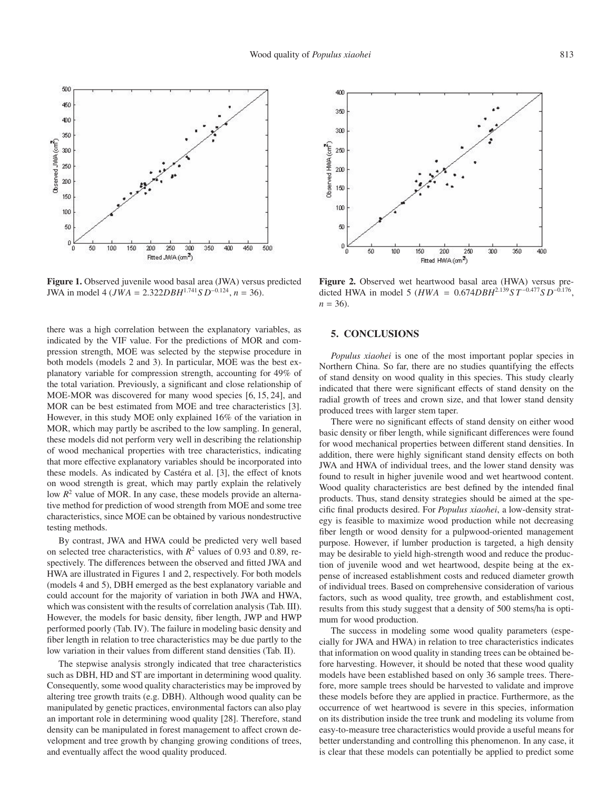

**Figure 1.** Observed juvenile wood basal area (JWA) versus predicted JWA in model 4 (*JWA* = 2.322*DBH*<sup>1</sup>.<sup>741</sup>*S D*−0.124, *n* = 36).

there was a high correlation between the explanatory variables, as indicated by the VIF value. For the predictions of MOR and compression strength, MOE was selected by the stepwise procedure in both models (models 2 and 3). In particular, MOE was the best explanatory variable for compression strength, accounting for 49% of the total variation. Previously, a significant and close relationship of MOE-MOR was discovered for many wood species [6, 15, 24], and MOR can be best estimated from MOE and tree characteristics [3]. However, in this study MOE only explained 16% of the variation in MOR, which may partly be ascribed to the low sampling. In general, these models did not perform very well in describing the relationship of wood mechanical properties with tree characteristics, indicating that more effective explanatory variables should be incorporated into these models. As indicated by Castéra et al. [3], the effect of knots on wood strength is great, which may partly explain the relatively low  $R^2$  value of MOR. In any case, these models provide an alternative method for prediction of wood strength from MOE and some tree characteristics, since MOE can be obtained by various nondestructive testing methods.

By contrast, JWA and HWA could be predicted very well based on selected tree characteristics, with  $R^2$  values of 0.93 and 0.89, respectively. The differences between the observed and fitted JWA and HWA are illustrated in Figures 1 and 2, respectively. For both models (models 4 and 5), DBH emerged as the best explanatory variable and could account for the majority of variation in both JWA and HWA, which was consistent with the results of correlation analysis (Tab. III). However, the models for basic density, fiber length, JWP and HWP performed poorly (Tab. IV). The failure in modeling basic density and fiber length in relation to tree characteristics may be due partly to the low variation in their values from different stand densities (Tab. II).

The stepwise analysis strongly indicated that tree characteristics such as DBH, HD and ST are important in determining wood quality. Consequently, some wood quality characteristics may be improved by altering tree growth traits (e.g. DBH). Although wood quality can be manipulated by genetic practices, environmental factors can also play an important role in determining wood quality [28]. Therefore, stand density can be manipulated in forest management to affect crown development and tree growth by changing growing conditions of trees, and eventually affect the wood quality produced.



**Figure 2.** Observed wet heartwood basal area (HWA) versus predicted HWA in model 5 ( $HWA = 0.674DBH^{2.139}ST^{-0.477}SD^{-0.176}$ ,  $n = 36$ .

## **5. CONCLUSIONS**

*Populus xiaohei* is one of the most important poplar species in Northern China. So far, there are no studies quantifying the effects of stand density on wood quality in this species. This study clearly indicated that there were significant effects of stand density on the radial growth of trees and crown size, and that lower stand density produced trees with larger stem taper.

There were no significant effects of stand density on either wood basic density or fiber length, while significant differences were found for wood mechanical properties between different stand densities. In addition, there were highly significant stand density effects on both JWA and HWA of individual trees, and the lower stand density was found to result in higher juvenile wood and wet heartwood content. Wood quality characteristics are best defined by the intended final products. Thus, stand density strategies should be aimed at the specific final products desired. For *Populus xiaohei*, a low-density strategy is feasible to maximize wood production while not decreasing fiber length or wood density for a pulpwood-oriented management purpose. However, if lumber production is targeted, a high density may be desirable to yield high-strength wood and reduce the production of juvenile wood and wet heartwood, despite being at the expense of increased establishment costs and reduced diameter growth of individual trees. Based on comprehensive consideration of various factors, such as wood quality, tree growth, and establishment cost, results from this study suggest that a density of 500 stems/ha is optimum for wood production.

The success in modeling some wood quality parameters (especially for JWA and HWA) in relation to tree characteristics indicates that information on wood quality in standing trees can be obtained before harvesting. However, it should be noted that these wood quality models have been established based on only 36 sample trees. Therefore, more sample trees should be harvested to validate and improve these models before they are applied in practice. Furthermore, as the occurrence of wet heartwood is severe in this species, information on its distribution inside the tree trunk and modeling its volume from easy-to-measure tree characteristics would provide a useful means for better understanding and controlling this phenomenon. In any case, it is clear that these models can potentially be applied to predict some